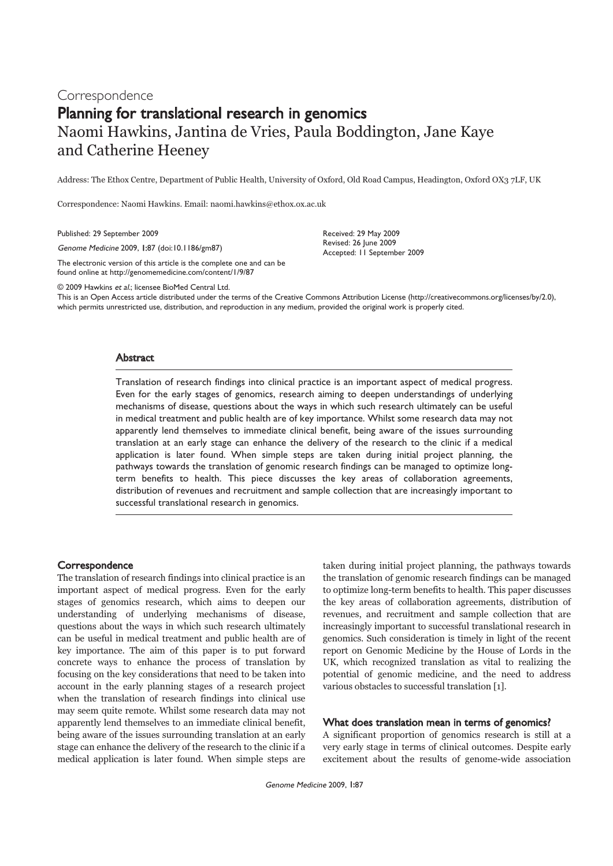# Correspondence Planning for translational research in genomics Naomi Hawkins, Jantina de Vries, Paula Boddington, Jane Kaye and Catherine Heeney

Address: The Ethox Centre, Department of Public Health, University of Oxford, Old Road Campus, Headington, Oxford OX3 7LF, UK

Correspondence: Naomi Hawkins. Email: naomi.hawkins@ethox.ox.ac.uk

Published: 29 September 2009

Genome Medicine 2009, 1:87 (doi:10.1186/gm87)

The electronic version of this article is the complete one and can be found online at http://genomemedicine.com/content/1/9/87

© 2009 Hawkins et al.; licensee BioMed Central Ltd.

This is an Open Access article distributed under the terms of the Creative Commons Attribution License (http://creativecommons.org/licenses/by/2.0), which permits unrestricted use, distribution, and reproduction in any medium, provided the original work is properly cited.

#### **Abstract**

Translation of research findings into clinical practice is an important aspect of medical progress. Even for the early stages of genomics, research aiming to deepen understandings of underlying mechanisms of disease, questions about the ways in which such research ultimately can be useful in medical treatment and public health are of key importance. Whilst some research data may not apparently lend themselves to immediate clinical benefit, being aware of the issues surrounding translation at an early stage can enhance the delivery of the research to the clinic if a medical application is later found. When simple steps are taken during initial project planning, the pathways towards the translation of genomic research findings can be managed to optimize longterm benefits to health. This piece discusses the key areas of collaboration agreements, distribution of revenues and recruitment and sample collection that are increasingly important to successful translational research in genomics.

## **Correspondence**

The translation of research findings into clinical practice is an important aspect of medical progress. Even for the early stages of genomics research, which aims to deepen our understanding of underlying mechanisms of disease, questions about the ways in which such research ultimately can be useful in medical treatment and public health are of key importance. The aim of this paper is to put forward concrete ways to enhance the process of translation by focusing on the key considerations that need to be taken into account in the early planning stages of a research project when the translation of research findings into clinical use may seem quite remote. Whilst some research data may not apparently lend themselves to an immediate clinical benefit, being aware of the issues surrounding translation at an early stage can enhance the delivery of the research to the clinic if a medical application is later found. When simple steps are

taken during initial project planning, the pathways towards the translation of genomic research findings can be managed to optimize long-term benefits to health. This paper discusses the key areas of collaboration agreements, distribution of revenues, and recruitment and sample collection that are increasingly important to successful translational research in genomics. Such consideration is timely in light of the recent report on Genomic Medicine by the House of Lords in the UK, which recognized translation as vital to realizing the potential of genomic medicine, and the need to address various obstacles to successful translation [1].

# What does translation mean in terms of genomics?

A significant proportion of genomics research is still at a very early stage in terms of clinical outcomes. Despite early excitement about the results of genome-wide association

Received: 29 May 2009 Revised: 26 June 2009 Accepted: 11 September 2009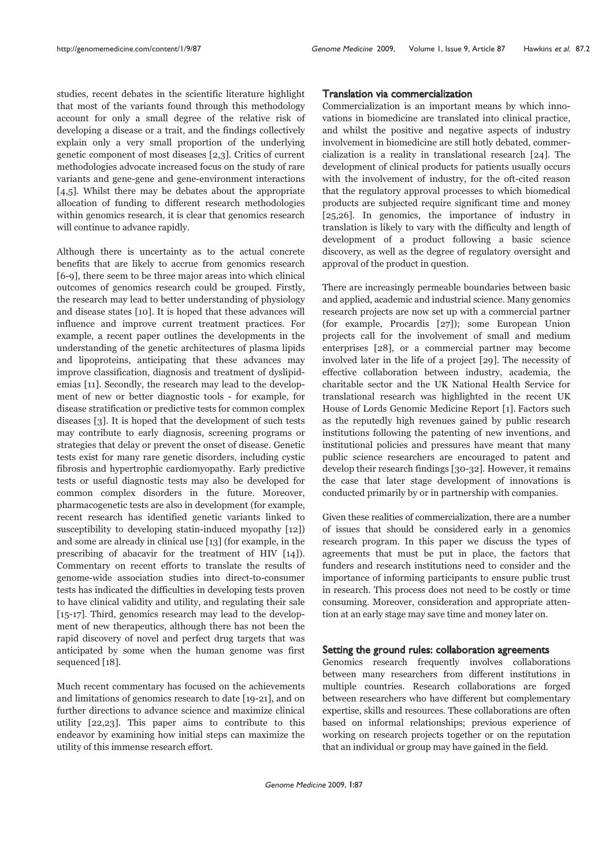studies, recent debates in the scientific literature highlight that most of the variants found through this methodology account for only a small degree of the relative risk of developing a disease or a trait, and the findings collectively explain only a very small proportion of the underlying genetic component of most diseases [2,3]. Critics of current methodologies advocate increased focus on the study of rare variants and gene-gene and gene-environment interactions [4,5]. Whilst there may be debates about the appropriate allocation of funding to different research methodologies within genomics research, it is clear that genomics research will continue to advance rapidly.

Although there is uncertainty as to the actual concrete benefits that are likely to accrue from genomics research [6-9], there seem to be three major areas into which clinical outcomes of genomics research could be grouped. Firstly, the research may lead to better understanding of physiology and disease states [10]. It is hoped that these advances will influence and improve current treatment practices. For example, a recent paper outlines the developments in the understanding of the genetic architectures of plasma lipids and lipoproteins, anticipating that these advances may improve classification, diagnosis and treatment of dyslipidemias [11]. Secondly, the research may lead to the development of new or better diagnostic tools - for example, for disease stratification or predictive tests for common complex diseases [3]. It is hoped that the development of such tests may contribute to early diagnosis, screening programs or strategies that delay or prevent the onset of disease. Genetic tests exist for many rare genetic disorders, including cystic fibrosis and hypertrophic cardiomyopathy. Early predictive tests or useful diagnostic tests may also be developed for common complex disorders in the future. Moreover, pharmacogenetic tests are also in development (for example, recent research has identified genetic variants linked to susceptibility to developing statin-induced myopathy [12]) and some are already in clinical use [13] (for example, in the prescribing of abacavir for the treatment of HIV [14]). Commentary on recent efforts to translate the results of genome-wide association studies into direct-to-consumer tests has indicated the difficulties in developing tests proven to have clinical validity and utility, and regulating their sale [15-17]. Third, genomics research may lead to the development of new therapeutics, although there has not been the rapid discovery of novel and perfect drug targets that was anticipated by some when the human genome was first sequenced [18].

Much recent commentary has focused on the achievements and limitations of genomics research to date [19-21], and on further directions to advance science and maximize clinical utility [22,23]. This paper aims to contribute to this endeavor by examining how initial steps can maximize the utility of this immense research effort.

# Translation via commercialization

Commercialization is an important means by which innovations in biomedicine are translated into clinical practice, and whilst the positive and negative aspects of industry involvement in biomedicine are still hotly debated, commercialization is a reality in translational research [24]. The development of clinical products for patients usually occurs with the involvement of industry, for the oft-cited reason that the regulatory approval processes to which biomedical products are subjected require significant time and money [25,26]. In genomics, the importance of industry in translation is likely to vary with the difficulty and length of development of a product following a basic science discovery, as well as the degree of regulatory oversight and approval of the product in question.

There are increasingly permeable boundaries between basic and applied, academic and industrial science. Many genomics research projects are now set up with a commercial partner (for example, Procardis [27]); some European Union projects call for the involvement of small and medium enterprises [28], or a commercial partner may become involved later in the life of a project [29]. The necessity of effective collaboration between industry, academia, the charitable sector and the UK National Health Service for translational research was highlighted in the recent UK House of Lords Genomic Medicine Report [1]. Factors such as the reputedly high revenues gained by public research institutions following the patenting of new inventions, and institutional policies and pressures have meant that many public science researchers are encouraged to patent and develop their research findings [30-32]. However, it remains the case that later stage development of innovations is conducted primarily by or in partnership with companies.

Given these realities of commercialization, there are a number of issues that should be considered early in a genomics research program. In this paper we discuss the types of agreements that must be put in place, the factors that funders and research institutions need to consider and the importance of informing participants to ensure public trust in research. This process does not need to be costly or time consuming. Moreover, consideration and appropriate attention at an early stage may save time and money later on.

## Setting the ground rules: collaboration agreements

Genomics research frequently involves collaborations between many researchers from different institutions in multiple countries. Research collaborations are forged between researchers who have different but complementary expertise, skills and resources. These collaborations are often based on informal relationships; previous experience of working on research projects together or on the reputation that an individual or group may have gained in the field.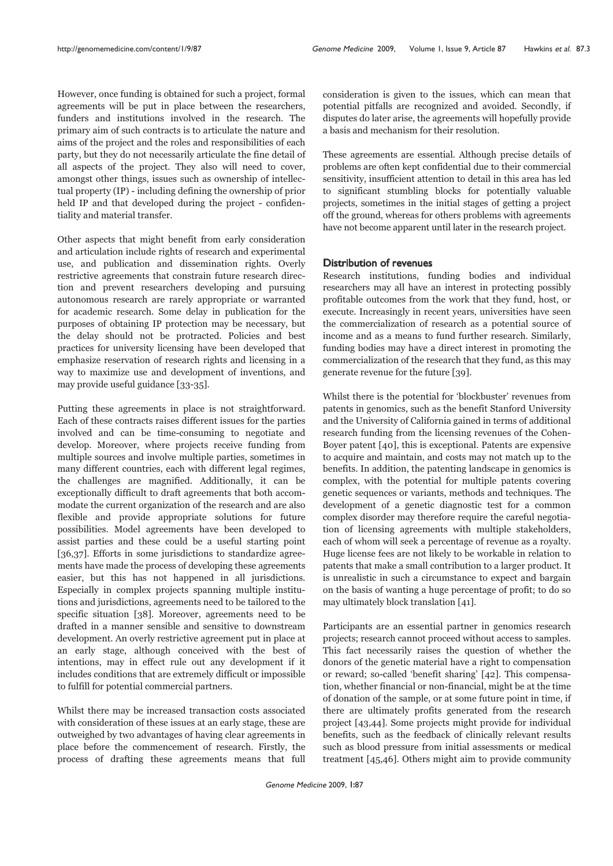However, once funding is obtained for such a project, formal agreements will be put in place between the researchers, funders and institutions involved in the research. The primary aim of such contracts is to articulate the nature and aims of the project and the roles and responsibilities of each party, but they do not necessarily articulate the fine detail of all aspects of the project. They also will need to cover, amongst other things, issues such as ownership of intellectual property (IP) - including defining the ownership of prior held IP and that developed during the project - confidentiality and material transfer.

Other aspects that might benefit from early consideration and articulation include rights of research and experimental use, and publication and dissemination rights. Overly restrictive agreements that constrain future research direction and prevent researchers developing and pursuing autonomous research are rarely appropriate or warranted for academic research. Some delay in publication for the purposes of obtaining IP protection may be necessary, but the delay should not be protracted. Policies and best practices for university licensing have been developed that emphasize reservation of research rights and licensing in a way to maximize use and development of inventions, and may provide useful guidance [33-35].

Putting these agreements in place is not straightforward. Each of these contracts raises different issues for the parties involved and can be time-consuming to negotiate and develop. Moreover, where projects receive funding from multiple sources and involve multiple parties, sometimes in many different countries, each with different legal regimes, the challenges are magnified. Additionally, it can be exceptionally difficult to draft agreements that both accommodate the current organization of the research and are also flexible and provide appropriate solutions for future possibilities. Model agreements have been developed to assist parties and these could be a useful starting point [36,37]. Efforts in some jurisdictions to standardize agreements have made the process of developing these agreements easier, but this has not happened in all jurisdictions. Especially in complex projects spanning multiple institutions and jurisdictions, agreements need to be tailored to the specific situation [38]. Moreover, agreements need to be drafted in a manner sensible and sensitive to downstream development. An overly restrictive agreement put in place at an early stage, although conceived with the best of intentions, may in effect rule out any development if it includes conditions that are extremely difficult or impossible to fulfill for potential commercial partners.

Whilst there may be increased transaction costs associated with consideration of these issues at an early stage, these are outweighed by two advantages of having clear agreements in place before the commencement of research. Firstly, the process of drafting these agreements means that full consideration is given to the issues, which can mean that potential pitfalls are recognized and avoided. Secondly, if disputes do later arise, the agreements will hopefully provide a basis and mechanism for their resolution.

These agreements are essential. Although precise details of problems are often kept confidential due to their commercial sensitivity, insufficient attention to detail in this area has led to significant stumbling blocks for potentially valuable projects, sometimes in the initial stages of getting a project off the ground, whereas for others problems with agreements have not become apparent until later in the research project.

# Distribution of revenues

Research institutions, funding bodies and individual researchers may all have an interest in protecting possibly profitable outcomes from the work that they fund, host, or execute. Increasingly in recent years, universities have seen the commercialization of research as a potential source of income and as a means to fund further research. Similarly, funding bodies may have a direct interest in promoting the commercialization of the research that they fund, as this may generate revenue for the future [39].

Whilst there is the potential for 'blockbuster' revenues from patents in genomics, such as the benefit Stanford University and the University of California gained in terms of additional research funding from the licensing revenues of the Cohen-Boyer patent [40], this is exceptional. Patents are expensive to acquire and maintain, and costs may not match up to the benefits. In addition, the patenting landscape in genomics is complex, with the potential for multiple patents covering genetic sequences or variants, methods and techniques. The development of a genetic diagnostic test for a common complex disorder may therefore require the careful negotiation of licensing agreements with multiple stakeholders, each of whom will seek a percentage of revenue as a royalty. Huge license fees are not likely to be workable in relation to patents that make a small contribution to a larger product. It is unrealistic in such a circumstance to expect and bargain on the basis of wanting a huge percentage of profit; to do so may ultimately block translation [41].

Participants are an essential partner in genomics research projects; research cannot proceed without access to samples. This fact necessarily raises the question of whether the donors of the genetic material have a right to compensation or reward; so-called 'benefit sharing' [42]. This compensation, whether financial or non-financial, might be at the time of donation of the sample, or at some future point in time, if there are ultimately profits generated from the research project [43,44]. Some projects might provide for individual benefits, such as the feedback of clinically relevant results such as blood pressure from initial assessments or medical treatment [45,46]. Others might aim to provide community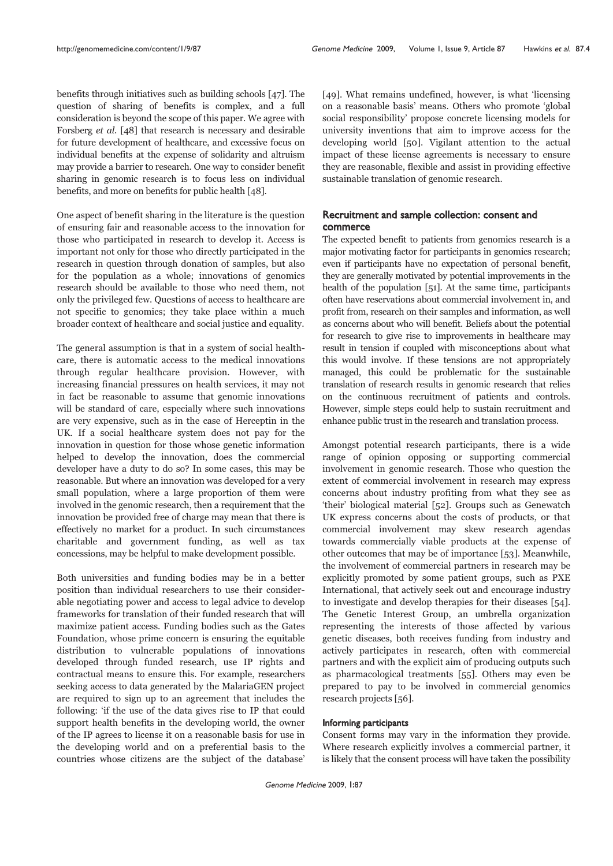benefits through initiatives such as building schools [47]. The question of sharing of benefits is complex, and a full consideration is beyond the scope of this paper. We agree with Forsberg et al. [48] that research is necessary and desirable for future development of healthcare, and excessive focus on individual benefits at the expense of solidarity and altruism may provide a barrier to research. One way to consider benefit sharing in genomic research is to focus less on individual benefits, and more on benefits for public health [48].

One aspect of benefit sharing in the literature is the question of ensuring fair and reasonable access to the innovation for those who participated in research to develop it. Access is important not only for those who directly participated in the research in question through donation of samples, but also for the population as a whole; innovations of genomics research should be available to those who need them, not only the privileged few. Questions of access to healthcare are not specific to genomics; they take place within a much broader context of healthcare and social justice and equality.

The general assumption is that in a system of social healthcare, there is automatic access to the medical innovations through regular healthcare provision. However, with increasing financial pressures on health services, it may not in fact be reasonable to assume that genomic innovations will be standard of care, especially where such innovations are very expensive, such as in the case of Herceptin in the UK. If a social healthcare system does not pay for the innovation in question for those whose genetic information helped to develop the innovation, does the commercial developer have a duty to do so? In some cases, this may be reasonable. But where an innovation was developed for a very small population, where a large proportion of them were involved in the genomic research, then a requirement that the innovation be provided free of charge may mean that there is effectively no market for a product. In such circumstances charitable and government funding, as well as tax concessions, may be helpful to make development possible.

Both universities and funding bodies may be in a better position than individual researchers to use their considerable negotiating power and access to legal advice to develop frameworks for translation of their funded research that will maximize patient access. Funding bodies such as the Gates Foundation, whose prime concern is ensuring the equitable distribution to vulnerable populations of innovations developed through funded research, use IP rights and contractual means to ensure this. For example, researchers seeking access to data generated by the MalariaGEN project are required to sign up to an agreement that includes the following: 'if the use of the data gives rise to IP that could support health benefits in the developing world, the owner of the IP agrees to license it on a reasonable basis for use in the developing world and on a preferential basis to the countries whose citizens are the subject of the database'

[49]. What remains undefined, however, is what 'licensing on a reasonable basis' means. Others who promote 'global social responsibility' propose concrete licensing models for university inventions that aim to improve access for the developing world [50]. Vigilant attention to the actual impact of these license agreements is necessary to ensure they are reasonable, flexible and assist in providing effective sustainable translation of genomic research.

# Recruitment and sample collection: consent and commerce

The expected benefit to patients from genomics research is a major motivating factor for participants in genomics research; even if participants have no expectation of personal benefit, they are generally motivated by potential improvements in the health of the population [51]. At the same time, participants often have reservations about commercial involvement in, and profit from, research on their samples and information, as well as concerns about who will benefit. Beliefs about the potential for research to give rise to improvements in healthcare may result in tension if coupled with misconceptions about what this would involve. If these tensions are not appropriately managed, this could be problematic for the sustainable translation of research results in genomic research that relies on the continuous recruitment of patients and controls. However, simple steps could help to sustain recruitment and enhance public trust in the research and translation process.

Amongst potential research participants, there is a wide range of opinion opposing or supporting commercial involvement in genomic research. Those who question the extent of commercial involvement in research may express concerns about industry profiting from what they see as 'their' biological material [52]. Groups such as Genewatch UK express concerns about the costs of products, or that commercial involvement may skew research agendas towards commercially viable products at the expense of other outcomes that may be of importance [53]. Meanwhile, the involvement of commercial partners in research may be explicitly promoted by some patient groups, such as PXE International, that actively seek out and encourage industry to investigate and develop therapies for their diseases [54]. The Genetic Interest Group, an umbrella organization representing the interests of those affected by various genetic diseases, both receives funding from industry and actively participates in research, often with commercial partners and with the explicit aim of producing outputs such as pharmacological treatments [55]. Others may even be prepared to pay to be involved in commercial genomics research projects [56].

## Informing participants

Consent forms may vary in the information they provide. Where research explicitly involves a commercial partner, it is likely that the consent process will have taken the possibility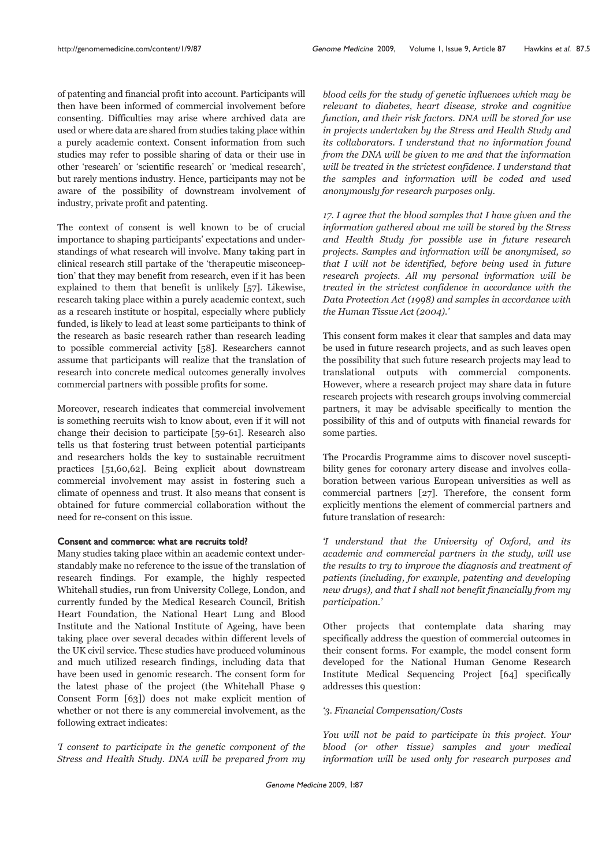of patenting and financial profit into account. Participants will then have been informed of commercial involvement before consenting. Difficulties may arise where archived data are used or where data are shared from studies taking place within a purely academic context. Consent information from such studies may refer to possible sharing of data or their use in other 'research' or 'scientific research' or 'medical research', but rarely mentions industry. Hence, participants may not be aware of the possibility of downstream involvement of industry, private profit and patenting.

The context of consent is well known to be of crucial importance to shaping participants' expectations and understandings of what research will involve. Many taking part in clinical research still partake of the 'therapeutic misconception' that they may benefit from research, even if it has been explained to them that benefit is unlikely [57]. Likewise, research taking place within a purely academic context, such as a research institute or hospital, especially where publicly funded, is likely to lead at least some participants to think of the research as basic research rather than research leading to possible commercial activity [58]. Researchers cannot assume that participants will realize that the translation of research into concrete medical outcomes generally involves commercial partners with possible profits for some.

Moreover, research indicates that commercial involvement is something recruits wish to know about, even if it will not change their decision to participate [59-61]. Research also tells us that fostering trust between potential participants and researchers holds the key to sustainable recruitment practices [51,60,62]. Being explicit about downstream commercial involvement may assist in fostering such a climate of openness and trust. It also means that consent is obtained for future commercial collaboration without the need for re-consent on this issue.

## Consent and commerce: what are recruits told?

Many studies taking place within an academic context understandably make no reference to the issue of the translation of research findings. For example, the highly respected Whitehall studies, run from University College, London, and currently funded by the Medical Research Council, British Heart Foundation, the National Heart Lung and Blood Institute and the National Institute of Ageing, have been taking place over several decades within different levels of the UK civil service. These studies have produced voluminous and much utilized research findings, including data that have been used in genomic research. The consent form for the latest phase of the project (the Whitehall Phase 9 Consent Form [63]) does not make explicit mention of whether or not there is any commercial involvement, as the following extract indicates:

'I consent to participate in the genetic component of the Stress and Health Study. DNA will be prepared from my

blood cells for the study of genetic influences which may be relevant to diabetes, heart disease, stroke and cognitive function, and their risk factors. DNA will be stored for use in projects undertaken by the Stress and Health Study and its collaborators. I understand that no information found from the DNA will be given to me and that the information will be treated in the strictest confidence. I understand that the samples and information will be coded and used anonymously for research purposes only.

17. I agree that the blood samples that I have given and the information gathered about me will be stored by the Stress and Health Study for possible use in future research projects. Samples and information will be anonymised, so that I will not be identified, before being used in future research projects. All my personal information will be treated in the strictest confidence in accordance with the Data Protection Act (1998) and samples in accordance with the Human Tissue Act (2004).'

This consent form makes it clear that samples and data may be used in future research projects, and as such leaves open the possibility that such future research projects may lead to translational outputs with commercial components. However, where a research project may share data in future research projects with research groups involving commercial partners, it may be advisable specifically to mention the possibility of this and of outputs with financial rewards for some parties.

The Procardis Programme aims to discover novel susceptibility genes for coronary artery disease and involves collaboration between various European universities as well as commercial partners [27]. Therefore, the consent form explicitly mentions the element of commercial partners and future translation of research:

'I understand that the University of Oxford, and its academic and commercial partners in the study, will use the results to try to improve the diagnosis and treatment of patients (including, for example, patenting and developing new drugs), and that I shall not benefit financially from my participation.'

Other projects that contemplate data sharing may specifically address the question of commercial outcomes in their consent forms. For example, the model consent form developed for the National Human Genome Research Institute Medical Sequencing Project [64] specifically addresses this question:

#### '3. Financial Compensation/Costs

You will not be paid to participate in this project. Your blood (or other tissue) samples and your medical information will be used only for research purposes and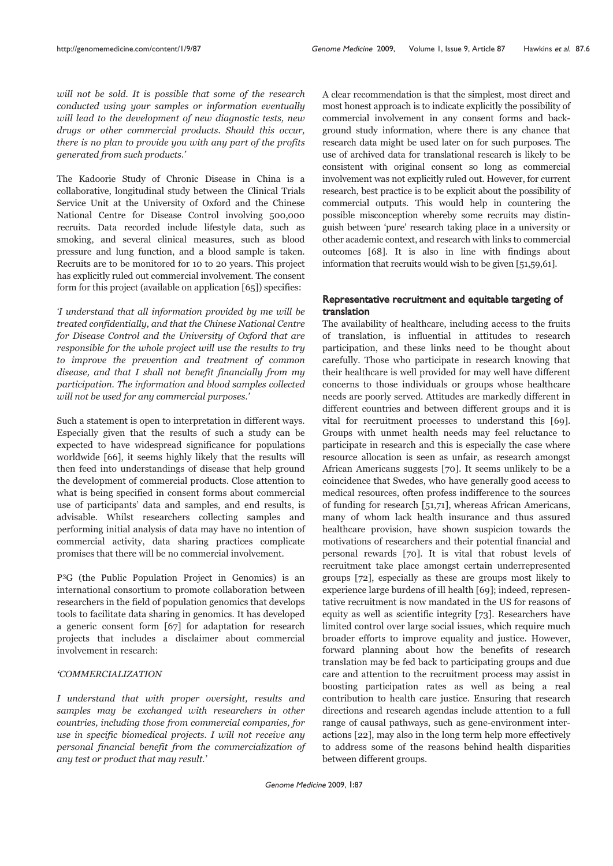will not be sold. It is possible that some of the research conducted using your samples or information eventually will lead to the development of new diagnostic tests, new drugs or other commercial products. Should this occur, there is no plan to provide you with any part of the profits generated from such products.'

The Kadoorie Study of Chronic Disease in China is a collaborative, longitudinal study between the Clinical Trials Service Unit at the University of Oxford and the Chinese National Centre for Disease Control involving 500,000 recruits. Data recorded include lifestyle data, such as smoking, and several clinical measures, such as blood pressure and lung function, and a blood sample is taken. Recruits are to be monitored for 10 to 20 years. This project has explicitly ruled out commercial involvement. The consent form for this project (available on application [65]) specifies:

'I understand that all information provided by me will be treated confidentially, and that the Chinese National Centre for Disease Control and the University of Oxford that are responsible for the whole project will use the results to try to improve the prevention and treatment of common disease, and that I shall not benefit financially from my participation. The information and blood samples collected will not be used for any commercial purposes.'

Such a statement is open to interpretation in different ways. Especially given that the results of such a study can be expected to have widespread significance for populations worldwide [66], it seems highly likely that the results will then feed into understandings of disease that help ground the development of commercial products. Close attention to what is being specified in consent forms about commercial use of participants' data and samples, and end results, is advisable. Whilst researchers collecting samples and performing initial analysis of data may have no intention of commercial activity, data sharing practices complicate promises that there will be no commercial involvement.

P3G (the Public Population Project in Genomics) is an international consortium to promote collaboration between researchers in the field of population genomics that develops tools to facilitate data sharing in genomics. It has developed a generic consent form [67] for adaptation for research projects that includes a disclaimer about commercial involvement in research:

## *'*COMMERCIALIZATION

I understand that with proper oversight, results and samples may be exchanged with researchers in other countries, including those from commercial companies, for use in specific biomedical projects. I will not receive any personal financial benefit from the commercialization of any test or product that may result.'

A clear recommendation is that the simplest, most direct and most honest approach is to indicate explicitly the possibility of commercial involvement in any consent forms and background study information, where there is any chance that research data might be used later on for such purposes. The use of archived data for translational research is likely to be consistent with original consent so long as commercial involvement was not explicitly ruled out. However, for current research, best practice is to be explicit about the possibility of commercial outputs. This would help in countering the possible misconception whereby some recruits may distinguish between 'pure' research taking place in a university or other academic context, and research with links to commercial outcomes [68]. It is also in line with findings about information that recruits would wish to be given [51,59,61].

# Representative recruitment and equitable targeting of translation

The availability of healthcare, including access to the fruits of translation, is influential in attitudes to research participation, and these links need to be thought about carefully. Those who participate in research knowing that their healthcare is well provided for may well have different concerns to those individuals or groups whose healthcare needs are poorly served. Attitudes are markedly different in different countries and between different groups and it is vital for recruitment processes to understand this [69]. Groups with unmet health needs may feel reluctance to participate in research and this is especially the case where resource allocation is seen as unfair, as research amongst African Americans suggests [70]. It seems unlikely to be a coincidence that Swedes, who have generally good access to medical resources, often profess indifference to the sources of funding for research [51,71], whereas African Americans, many of whom lack health insurance and thus assured healthcare provision, have shown suspicion towards the motivations of researchers and their potential financial and personal rewards [70]. It is vital that robust levels of recruitment take place amongst certain underrepresented groups [72], especially as these are groups most likely to experience large burdens of ill health [69]; indeed, representative recruitment is now mandated in the US for reasons of equity as well as scientific integrity [73]. Researchers have limited control over large social issues, which require much broader efforts to improve equality and justice. However, forward planning about how the benefits of research translation may be fed back to participating groups and due care and attention to the recruitment process may assist in boosting participation rates as well as being a real contribution to health care justice. Ensuring that research directions and research agendas include attention to a full range of causal pathways, such as gene-environment interactions [22], may also in the long term help more effectively to address some of the reasons behind health disparities between different groups.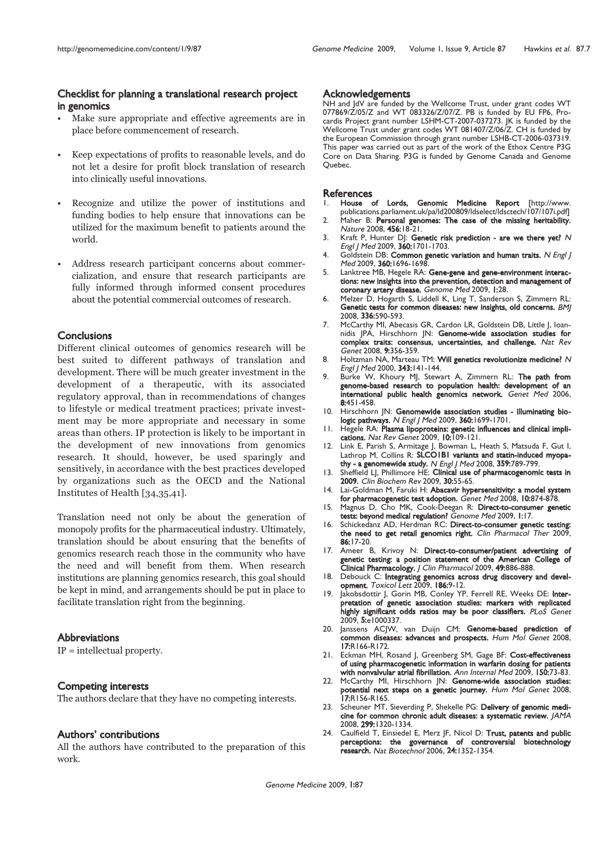# Checklist for planning a translational research project in genomics

- Make sure appropriate and effective agreements are in place before commencement of research.
- Keep expectations of profits to reasonable levels, and do not let a desire for profit block translation of research into clinically useful innovations.
- Recognize and utilize the power of institutions and funding bodies to help ensure that innovations can be utilized for the maximum benefit to patients around the world.
- Address research participant concerns about commercialization, and ensure that research participants are fully informed through informed consent procedures about the potential commercial outcomes of research.

# **Conclusions**

Different clinical outcomes of genomics research will be best suited to different pathways of translation and development. There will be much greater investment in the development of a therapeutic, with its associated regulatory approval, than in recommendations of changes to lifestyle or medical treatment practices; private investment may be more appropriate and necessary in some areas than others. IP protection is likely to be important in the development of new innovations from genomics research. It should, however, be used sparingly and sensitively, in accordance with the best practices developed by organizations such as the OECD and the National Institutes of Health [34,35,41].

Translation need not only be about the generation of monopoly profits for the pharmaceutical industry. Ultimately, translation should be about ensuring that the benefits of genomics research reach those in the community who have the need and will benefit from them. When research institutions are planning genomics research, this goal should be kept in mind, and arrangements should be put in place to facilitate translation right from the beginning.

## **Abbreviations**

IP = intellectual property.

## Competing interests

The authors declare that they have no competing interests.

## Authors' contributions

All the authors have contributed to the preparation of this work.

# Acknowledgements

NH and JdV are funded by the Wellcome Trust, under grant codes WT 077869/Z/05/Z and WT 083326/Z/07/Z. PB is funded by EU FP6, Procardis Project grant number LSHM-CT-2007-037273. JK is funded by the Wellcome Trust under grant codes WT 081407/Z/06/Z. CH is funded by the European Commission through grant number LSHB-CT-2006-037319. This paper was carried out as part of the work of the Ethox Centre P3G Core on Data Sharing. P3G is funded by Genome Canada and Genome Quebec.

#### **References**

- House of Lords, Genomic Medicine Report [http://www. publications.parliament.uk/pa/ld200809/ldselect/ldsctech/107/107i.pdf] 2. Maher B: Personal genomes: The case of the missing heritability. Nature 2008, 456:18-21.
- 3. Kraft P, Hunter DJ: Genetic risk prediction are we there yet? N Engl J Med 2009, 360:1701-1703.
- 4. Goldstein DB: Common genetic variation and human traits. N Engl J Med 2009, 360:1696-1698.
- 5. Lanktree MB, Hegele RA: Gene-gene and gene-environment interactions: new insights into the prevention, detection and management of coronary artery disease. Genome Med 2009, 1:28.
- 6. Melzer D, Hogarth S, Liddell K, Ling T, Sanderson S, Zimmern RL: Genetic tests for common diseases: new insights, old concerns. BMJ 2008, 336:590-593.
- 7. McCarthy MI, Abecasis GR, Cardon LR, Goldstein DB, Little J, Ioannidis JPA, Hirschhorn JN: Genome-wide association studies for complex traits: consensus, uncertainties, and challenge. Nat Rev Genet 2008, 9:356-359.
- 8. Holtzman NA, Marteau TM: Will genetics revolutionize medicine? N Engl J Med 2000, 343:141-144.
- 9. Burke W, Khoury MJ, Stewart A, Zimmern RL: The path from genome-based research to population health: development of an international public health genomics network. Genet Med 2006, 8:451-458.
- 10. Hirschhorn JN: Genomewide association studies illuminating biologic pathways. N Engl J Med 2009, 360:1699-1701.
- 11. Hegele RA: Plasma lipoproteins: genetic influences and clinical implications. Nat Rev Genet 2009, 10:109-121.
- 12. Link E, Parish S, Armitage J, Bowman L, Heath S, Matsuda F, Gut I, Lathrop M, Collins R: SLCO1B1 variants and statin-induced myopathy - a genomewide study. N Engl J Med 2008, 359:789-799.
- 13. Sheffield LJ, Phillimore HE: Clinical use of pharmacogenomic tests in 2009. Clin Biochem Rev 2009, 30:55-65.
- 14. Lai-Goldman M, Faruki H: Abacavir hypersensitivity: a model system for pharmacogenetic test adoption. Genet Med 2008, 10:874-878.
- 15. Magnus D, Cho MK, Cook-Deegan R: Direct-to-consumer genetic tests: beyond medical regulation? Genome Med 2009, 1:17.
- Schickedanz AD, Herdman RC: Direct-to-consumer genetic testing: the need to get retail genomics right. Clin Pharmacol Ther 2009, 86:17-20.
- 17. Ameer B, Krivoy N: Direct-to-consumer/patient advertising of genetic testing: a position statement of the American College of Clinical Pharmacology. J Clin Pharmacol 2009, 49:886-888.
- 18. Debouck C: Integrating genomics across drug discovery and development. Toxicol Lett 2009, 186:9-12.
- 19. Jakobsdottir J, Gorin MB, Conley YP, Ferrell RE, Weeks DE: Interpretation of genetic association studies: markers with replicated highly significant odds ratios may be poor classifiers. PLoS Genet 2009, 5:e1000337.
- 20. Janssens ACJW, van Duijn CM: Genome-based prediction of common diseases: advances and prospects. Hum Mol Genet 2008, 17:R166-R172.
- 21. Eckman MH, Rosand J, Greenberg SM, Gage BF: Cost-effectiveness of using pharmacogenetic information in warfarin dosing for patients with nonvalvular atrial fibrillation. Ann Internal Med 2009, 150:73-83.
- 22. McCarthy MI, Hirschhorn JN: Genome-wide association studies: potential next steps on a genetic journey. Hum Mol Genet 2008, 17:R156-R165.
- 23. Scheuner MT, Sieverding P, Shekelle PG: Delivery of genomic medicine for common chronic adult diseases: a systematic review. JAMA 2008, 299:1320-1334.
- 24. Caulfield T, Einsiedel E, Merz JF, Nicol D: Trust, patents and public perceptions: the governance of controversial biotechnology research. Nat Biotechnol 2006, 24:1352-1354.